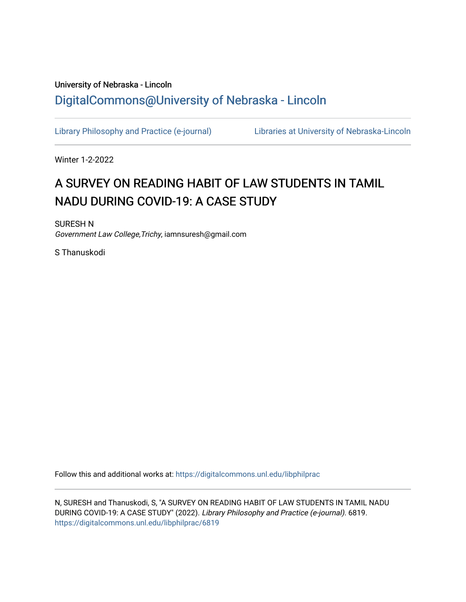## University of Nebraska - Lincoln [DigitalCommons@University of Nebraska - Lincoln](https://digitalcommons.unl.edu/)

[Library Philosophy and Practice \(e-journal\)](https://digitalcommons.unl.edu/libphilprac) [Libraries at University of Nebraska-Lincoln](https://digitalcommons.unl.edu/libraries) 

Winter 1-2-2022

# A SURVEY ON READING HABIT OF LAW STUDENTS IN TAMIL NADU DURING COVID-19: A CASE STUDY

SURESH N Government Law College,Trichy, iamnsuresh@gmail.com

S Thanuskodi

Follow this and additional works at: [https://digitalcommons.unl.edu/libphilprac](https://digitalcommons.unl.edu/libphilprac?utm_source=digitalcommons.unl.edu%2Flibphilprac%2F6819&utm_medium=PDF&utm_campaign=PDFCoverPages) 

N, SURESH and Thanuskodi, S, "A SURVEY ON READING HABIT OF LAW STUDENTS IN TAMIL NADU DURING COVID-19: A CASE STUDY" (2022). Library Philosophy and Practice (e-journal). 6819. [https://digitalcommons.unl.edu/libphilprac/6819](https://digitalcommons.unl.edu/libphilprac/6819?utm_source=digitalcommons.unl.edu%2Flibphilprac%2F6819&utm_medium=PDF&utm_campaign=PDFCoverPages)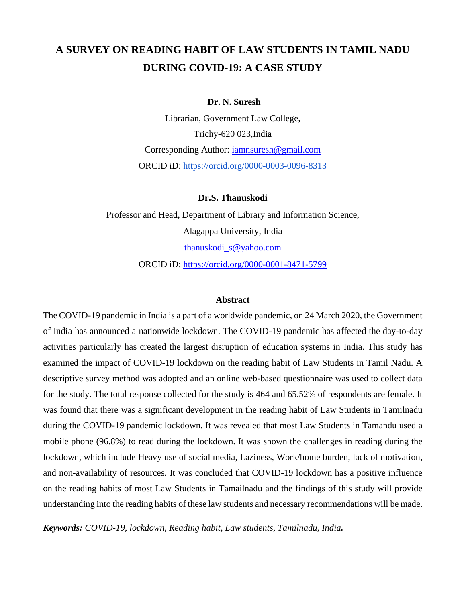## **A SURVEY ON READING HABIT OF LAW STUDENTS IN TAMIL NADU DURING COVID-19: A CASE STUDY**

**Dr. N. Suresh**

Librarian, Government Law College, Trichy-620 023,India Corresponding Author: [iamnsuresh@gmail.com](mailto:iamnsuresh@gmail.com) ORCID iD:<https://orcid.org/0000-0003-0096-8313>

**Dr.S. Thanuskodi**

Professor and Head, Department of Library and Information Science, Alagappa University, India [thanuskodi\\_s@yahoo.com](mailto:thanuskodi_s@yahoo.com)

ORCID iD:<https://orcid.org/0000-0001-8471-5799>

#### **Abstract**

The COVID-19 pandemic in India is a part of a worldwide pandemic, on 24 March 2020, the Government of India has announced a nationwide lockdown. The COVID-19 pandemic has affected the day-to-day activities particularly has created the largest disruption of education systems in India. This study has examined the impact of COVID-19 lockdown on the reading habit of Law Students in Tamil Nadu. A descriptive survey method was adopted and an online web-based questionnaire was used to collect data for the study. The total response collected for the study is 464 and 65.52% of respondents are female. It was found that there was a significant development in the reading habit of Law Students in Tamilnadu during the COVID-19 pandemic lockdown. It was revealed that most Law Students in Tamandu used a mobile phone (96.8%) to read during the lockdown. It was shown the challenges in reading during the lockdown, which include Heavy use of social media, Laziness, Work/home burden, lack of motivation, and non-availability of resources. It was concluded that COVID-19 lockdown has a positive influence on the reading habits of most Law Students in Tamailnadu and the findings of this study will provide understanding into the reading habits of these law students and necessary recommendations will be made.

*Keywords: COVID-19, lockdown, Reading habit, Law students, Tamilnadu, India.*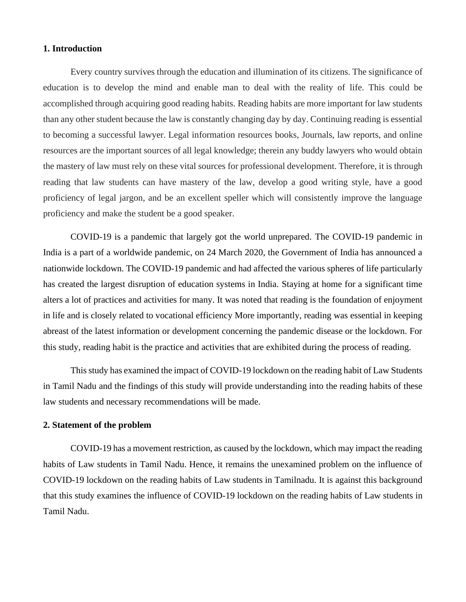#### **1. Introduction**

Every country survives through the education and illumination of its citizens. The significance of education is to develop the mind and enable man to deal with the reality of life. This could be accomplished through acquiring good reading habits. Reading habits are more important for law students than any other student because the law is constantly changing day by day. Continuing reading is essential to becoming a successful lawyer. Legal information resources books, Journals, law reports, and online resources are the important sources of all legal knowledge; therein any buddy lawyers who would obtain the mastery of law must rely on these vital sources for professional development. Therefore, it is through reading that law students can have mastery of the law, develop a good writing style, have a good proficiency of legal jargon, and be an excellent speller which will consistently improve the language proficiency and make the student be a good speaker.

COVID-19 is a pandemic that largely got the world unprepared. The COVID-19 pandemic in India is a part of a worldwide pandemic, on 24 March 2020, the Government of India has announced a nationwide lockdown. The COVID-19 pandemic and had affected the various spheres of life particularly has created the largest disruption of education systems in India. Staying at home for a significant time alters a lot of practices and activities for many. It was noted that reading is the foundation of enjoyment in life and is closely related to vocational efficiency More importantly, reading was essential in keeping abreast of the latest information or development concerning the pandemic disease or the lockdown. For this study, reading habit is the practice and activities that are exhibited during the process of reading.

This study has examined the impact of COVID-19 lockdown on the reading habit of Law Students in Tamil Nadu and the findings of this study will provide understanding into the reading habits of these law students and necessary recommendations will be made.

## **2. Statement of the problem**

COVID-19 has a movement restriction, as caused by the lockdown, which may impact the reading habits of Law students in Tamil Nadu. Hence, it remains the unexamined problem on the influence of COVID-19 lockdown on the reading habits of Law students in Tamilnadu. It is against this background that this study examines the influence of COVID-19 lockdown on the reading habits of Law students in Tamil Nadu.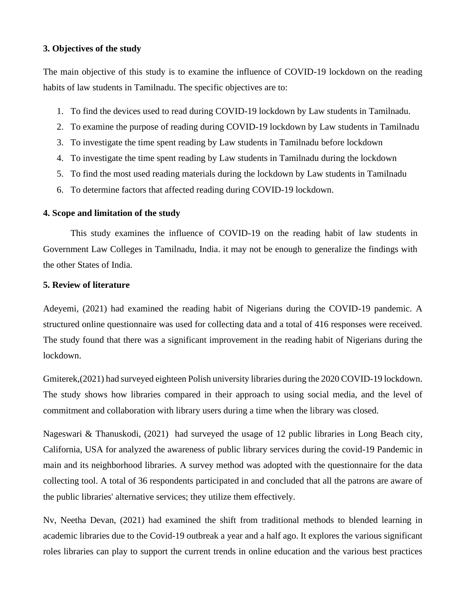## **3. Objectives of the study**

The main objective of this study is to examine the influence of COVID-19 lockdown on the reading habits of law students in Tamilnadu. The specific objectives are to:

- 1. To find the devices used to read during COVID-19 lockdown by Law students in Tamilnadu.
- 2. To examine the purpose of reading during COVID-19 lockdown by Law students in Tamilnadu
- 3. To investigate the time spent reading by Law students in Tamilnadu before lockdown
- 4. To investigate the time spent reading by Law students in Tamilnadu during the lockdown
- 5. To find the most used reading materials during the lockdown by Law students in Tamilnadu
- 6. To determine factors that affected reading during COVID-19 lockdown.

### **4. Scope and limitation of the study**

This study examines the influence of COVID-19 on the reading habit of law students in Government Law Colleges in Tamilnadu, India. it may not be enough to generalize the findings with the other States of India.

## **5. Review of literature**

Adeyemi, (2021) had examined the reading habit of Nigerians during the COVID-19 pandemic. A structured online questionnaire was used for collecting data and a total of 416 responses were received. The study found that there was a significant improvement in the reading habit of Nigerians during the lockdown.

Gmiterek,(2021) had surveyed eighteen Polish university libraries during the 2020 COVID-19 lockdown. The study shows how libraries compared in their approach to using social media, and the level of commitment and collaboration with library users during a time when the library was closed.

Nageswari & Thanuskodi, (2021) had surveyed the usage of 12 public libraries in Long Beach city, California, USA for analyzed the awareness of public library services during the covid-19 Pandemic in main and its neighborhood libraries. A survey method was adopted with the questionnaire for the data collecting tool. A total of 36 respondents participated in and concluded that all the patrons are aware of the public libraries' alternative services; they utilize them effectively.

Nv, Neetha Devan, (2021) had examined the shift from traditional methods to blended learning in academic libraries due to the Covid-19 outbreak a year and a half ago. It explores the various significant roles libraries can play to support the current trends in online education and the various best practices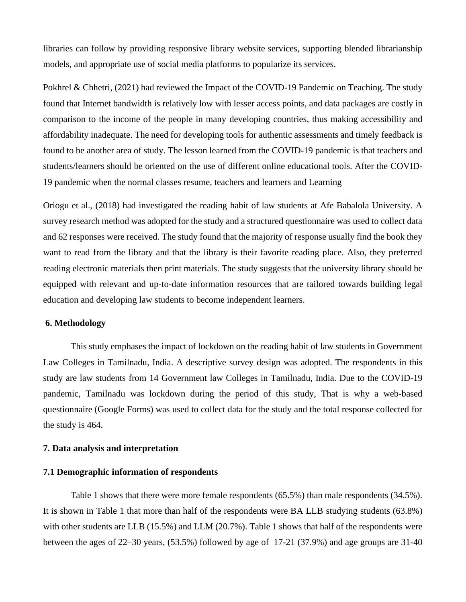libraries can follow by providing responsive library website services, supporting blended librarianship models, and appropriate use of social media platforms to popularize its services.

Pokhrel & Chhetri, (2021) had reviewed the Impact of the COVID-19 Pandemic on Teaching. The study found that Internet bandwidth is relatively low with lesser access points, and data packages are costly in comparison to the income of the people in many developing countries, thus making accessibility and affordability inadequate. The need for developing tools for authentic assessments and timely feedback is found to be another area of study. The lesson learned from the COVID-19 pandemic is that teachers and students/learners should be oriented on the use of different online educational tools. After the COVID-19 pandemic when the normal classes resume, teachers and learners and Learning

Oriogu et al., (2018) had investigated the reading habit of law students at Afe Babalola University. A survey research method was adopted for the study and a structured questionnaire was used to collect data and 62 responses were received. The study found that the majority of response usually find the book they want to read from the library and that the library is their favorite reading place. Also, they preferred reading electronic materials then print materials. The study suggests that the university library should be equipped with relevant and up-to-date information resources that are tailored towards building legal education and developing law students to become independent learners.

### **6. Methodology**

This study emphases the impact of lockdown on the reading habit of law students in Government Law Colleges in Tamilnadu, India. A descriptive survey design was adopted. The respondents in this study are law students from 14 Government law Colleges in Tamilnadu, India. Due to the COVID-19 pandemic, Tamilnadu was lockdown during the period of this study, That is why a web-based questionnaire (Google Forms) was used to collect data for the study and the total response collected for the study is 464.

#### **7. Data analysis and interpretation**

#### **7.1 Demographic information of respondents**

Table 1 shows that there were more female respondents (65.5%) than male respondents (34.5%). It is shown in Table 1 that more than half of the respondents were BA LLB studying students (63.8%) with other students are LLB (15.5%) and LLM (20.7%). Table 1 shows that half of the respondents were between the ages of 22–30 years, (53.5%) followed by age of 17-21 (37.9%) and age groups are 31-40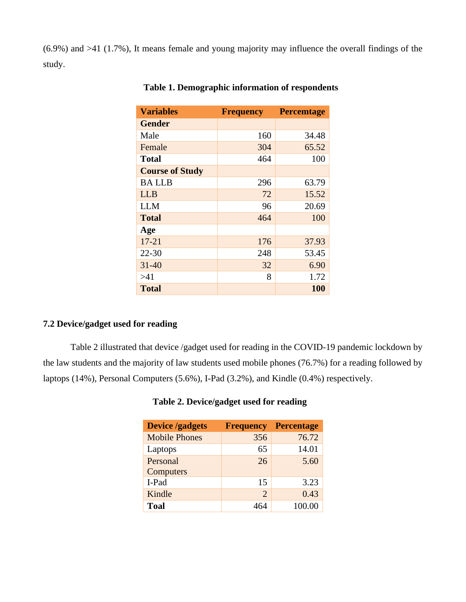(6.9%) and >41 (1.7%), It means female and young majority may influence the overall findings of the study.

| <b>Variables</b>       | <b>Frequency</b> | <b>Percemtage</b> |  |  |  |
|------------------------|------------------|-------------------|--|--|--|
| <b>Gender</b>          |                  |                   |  |  |  |
| Male                   | 160              | 34.48             |  |  |  |
| Female                 | 304              | 65.52             |  |  |  |
| Total                  | 464              | 100               |  |  |  |
| <b>Course of Study</b> |                  |                   |  |  |  |
| <b>BA LLB</b>          | 296              | 63.79             |  |  |  |
| <b>LLB</b>             | 72               | 15.52             |  |  |  |
| <b>LLM</b>             | 96               | 20.69             |  |  |  |
| Total                  | 464              | 100               |  |  |  |
| Age                    |                  |                   |  |  |  |
| $17 - 21$              | 176              | 37.93             |  |  |  |
| 22-30                  | 248              | 53.45             |  |  |  |
| $31 - 40$              | 32               | 6.90              |  |  |  |
| >41                    | 8                | 1.72              |  |  |  |
| Total                  |                  | 100               |  |  |  |

## **Table 1. Demographic information of respondents**

## **7.2 Device/gadget used for reading**

Table 2 illustrated that device /gadget used for reading in the COVID-19 pandemic lockdown by the law students and the majority of law students used mobile phones (76.7%) for a reading followed by laptops (14%), Personal Computers (5.6%), I-Pad (3.2%), and Kindle (0.4%) respectively.

## **Table 2. Device/gadget used for reading**

| <b>Device</b> /gadgets | <b>Frequency</b>            | <b>Percentage</b> |
|------------------------|-----------------------------|-------------------|
| <b>Mobile Phones</b>   | 356                         | 76.72             |
| Laptops                | 65                          | 14.01             |
| Personal               | 26                          | 5.60              |
| Computers              |                             |                   |
| I-Pad                  | 15                          | 3.23              |
| Kindle                 | $\mathcal{D}_{\mathcal{L}}$ | 0.43              |
| <b>Toal</b>            |                             | 100.0             |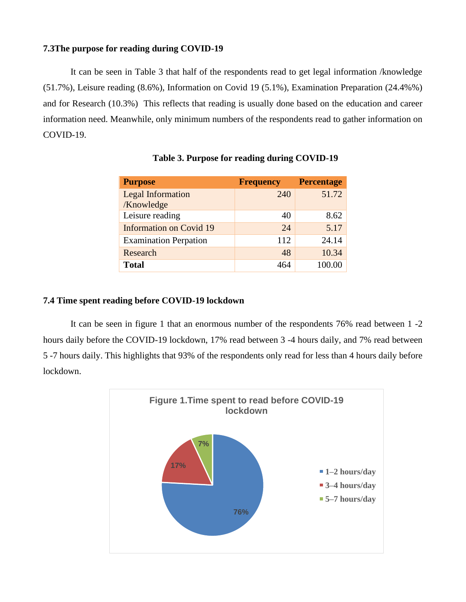## **7.3The purpose for reading during COVID-19**

It can be seen in Table 3 that half of the respondents read to get legal information /knowledge (51.7%), Leisure reading (8.6%), Information on Covid 19 (5.1%), Examination Preparation (24.4%%) and for Research (10.3%) This reflects that reading is usually done based on the education and career information need. Meanwhile, only minimum numbers of the respondents read to gather information on COVID-19.

| <b>Purpose</b>                 | <b>Frequency</b> | <b>Percentage</b> |
|--------------------------------|------------------|-------------------|
| <b>Legal Information</b>       | 240              | 51.72             |
| /Knowledge                     |                  |                   |
| Leisure reading                | 40               | 8.62              |
| <b>Information on Covid 19</b> | 24               | 5.17              |
| <b>Examination Perpation</b>   | 112              | 24.14             |
| Research                       | 48               | 10.34             |
| <b>Total</b>                   | 464              | 100.00            |

**Table 3. Purpose for reading during COVID-19**

## **7.4 Time spent reading before COVID-19 lockdown**

It can be seen in figure 1 that an enormous number of the respondents 76% read between 1 -2 hours daily before the COVID-19 lockdown, 17% read between 3 -4 hours daily, and 7% read between 5 -7 hours daily. This highlights that 93% of the respondents only read for less than 4 hours daily before lockdown.

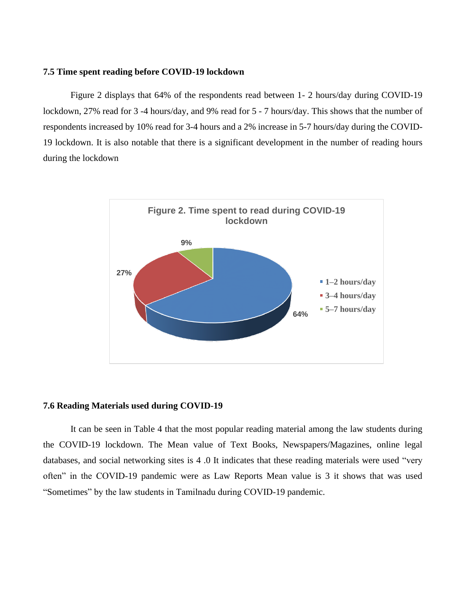## **7.5 Time spent reading before COVID-19 lockdown**

Figure 2 displays that 64% of the respondents read between 1- 2 hours/day during COVID-19 lockdown, 27% read for 3 -4 hours/day, and 9% read for 5 - 7 hours/day. This shows that the number of respondents increased by 10% read for 3-4 hours and a 2% increase in 5-7 hours/day during the COVID-19 lockdown. It is also notable that there is a significant development in the number of reading hours during the lockdown



## **7.6 Reading Materials used during COVID-19**

It can be seen in Table 4 that the most popular reading material among the law students during the COVID-19 lockdown. The Mean value of Text Books, Newspapers/Magazines, online legal databases, and social networking sites is 4 .0 It indicates that these reading materials were used "very often" in the COVID-19 pandemic were as Law Reports Mean value is 3 it shows that was used "Sometimes" by the law students in Tamilnadu during COVID-19 pandemic.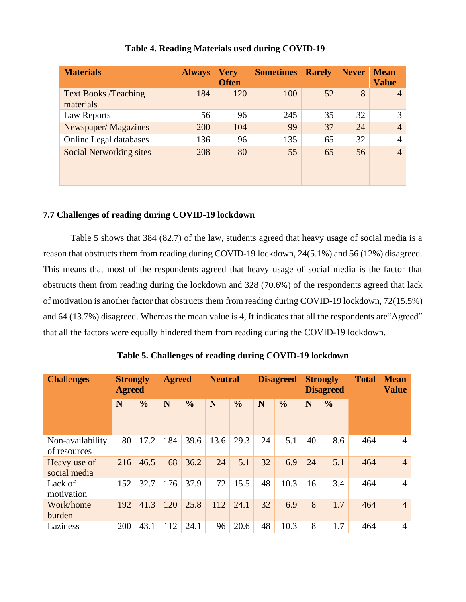| <b>Materials</b>                         | <b>Always</b> | <b>Very</b><br><b>Often</b> | <b>Sometimes</b> | <b>Rarely</b> | <b>Never</b> | <b>Mean</b><br><b>Value</b> |
|------------------------------------------|---------------|-----------------------------|------------------|---------------|--------------|-----------------------------|
| <b>Text Books /Teaching</b><br>materials | 184           | 120                         | 100              | 52            | 8            | $\overline{4}$              |
| Law Reports                              | 56            | 96                          | 245              | 35            | 32           | 3                           |
| Newspaper/Magazines                      | 200           | 104                         | 99               | 37            | 24           | $\overline{4}$              |
| Online Legal databases                   | 136           | 96                          | 135              | 65            | 32           | $\overline{4}$              |
| <b>Social Networking sites</b>           | 208           | 80                          | 55               | 65            | 56           | $\overline{4}$              |

## **Table 4. Reading Materials used during COVID-19**

## **7.7 Challenges of reading during COVID-19 lockdown**

Table 5 shows that 384 (82.7) of the law, students agreed that heavy usage of social media is a reason that obstructs them from reading during COVID-19 lockdown, 24(5.1%) and 56 (12%) disagreed. This means that most of the respondents agreed that heavy usage of social media is the factor that obstructs them from reading during the lockdown and 328 (70.6%) of the respondents agreed that lack of motivation is another factor that obstructs them from reading during COVID-19 lockdown, 72(15.5%) and 64 (13.7%) disagreed. Whereas the mean value is 4, It indicates that all the respondents are"Agreed" that all the factors were equally hindered them from reading during the COVID-19 lockdown.

| <b>Challenges</b>                | <b>Strongly</b><br><b>Agreed</b> |               | <b>Agreed</b> |               | <b>Neutral</b> |               | <b>Disagreed</b> |               | <b>Strongly</b><br><b>Disagreed</b> |               | <b>Total</b> | <b>Mean</b><br><b>Value</b> |
|----------------------------------|----------------------------------|---------------|---------------|---------------|----------------|---------------|------------------|---------------|-------------------------------------|---------------|--------------|-----------------------------|
|                                  | N                                | $\frac{0}{0}$ | N             | $\frac{0}{0}$ | N              | $\frac{0}{0}$ | N                | $\frac{0}{0}$ | N                                   | $\frac{0}{0}$ |              |                             |
|                                  |                                  |               |               |               |                |               |                  |               |                                     |               |              |                             |
| Non-availability<br>of resources | 80                               | 17.2          | 184           | 39.6          | 13.6           | 29.3          | 24               | 5.1           | 40                                  | 8.6           | 464          | $\overline{4}$              |
| Heavy use of<br>social media     | 216                              | 46.5          | 168           | 36.2          | 24             | 5.1           | 32               | 6.9           | 24                                  | 5.1           | 464          | $\overline{4}$              |
| Lack of<br>motivation            | 152                              | 32.7          | 176           | 37.9          | 72             | 15.5          | 48               | 10.3          | 16                                  | 3.4           | 464          | $\overline{4}$              |
| Work/home<br>burden              | 192                              | 41.3          | 120           | 25.8          | 112            | 24.1          | 32               | 6.9           | 8                                   | 1.7           | 464          | $\overline{4}$              |
| Laziness                         | 200                              | 43.1          | 112           | 24.1          | 96             | 20.6          | 48               | 10.3          | 8                                   | 1.7           | 464          | $\overline{4}$              |

**Table 5. Challenges of reading during COVID-19 lockdown**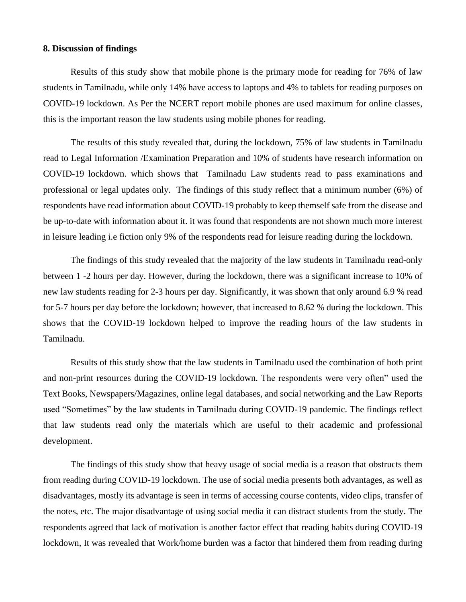#### **8. Discussion of findings**

Results of this study show that mobile phone is the primary mode for reading for 76% of law students in Tamilnadu, while only 14% have access to laptops and 4% to tablets for reading purposes on COVID-19 lockdown. As Per the NCERT report mobile phones are used maximum for online classes, this is the important reason the law students using mobile phones for reading.

The results of this study revealed that, during the lockdown, 75% of law students in Tamilnadu read to Legal Information /Examination Preparation and 10% of students have research information on COVID-19 lockdown. which shows that Tamilnadu Law students read to pass examinations and professional or legal updates only. The findings of this study reflect that a minimum number (6%) of respondents have read information about COVID-19 probably to keep themself safe from the disease and be up-to-date with information about it. it was found that respondents are not shown much more interest in leisure leading i.e fiction only 9% of the respondents read for leisure reading during the lockdown.

The findings of this study revealed that the majority of the law students in Tamilnadu read-only between 1 -2 hours per day. However, during the lockdown, there was a significant increase to 10% of new law students reading for 2-3 hours per day. Significantly, it was shown that only around 6.9 % read for 5-7 hours per day before the lockdown; however, that increased to 8.62 % during the lockdown. This shows that the COVID-19 lockdown helped to improve the reading hours of the law students in Tamilnadu.

Results of this study show that the law students in Tamilnadu used the combination of both print and non-print resources during the COVID-19 lockdown. The respondents were very often" used the Text Books, Newspapers/Magazines, online legal databases, and social networking and the Law Reports used "Sometimes" by the law students in Tamilnadu during COVID-19 pandemic. The findings reflect that law students read only the materials which are useful to their academic and professional development.

The findings of this study show that heavy usage of social media is a reason that obstructs them from reading during COVID-19 lockdown. The use of social media presents both advantages, as well as disadvantages, mostly its advantage is seen in terms of accessing course contents, video clips, transfer of the notes, etc. The major disadvantage of using social media it can distract students from the study. The respondents agreed that lack of motivation is another factor effect that reading habits during COVID-19 lockdown, It was revealed that Work/home burden was a factor that hindered them from reading during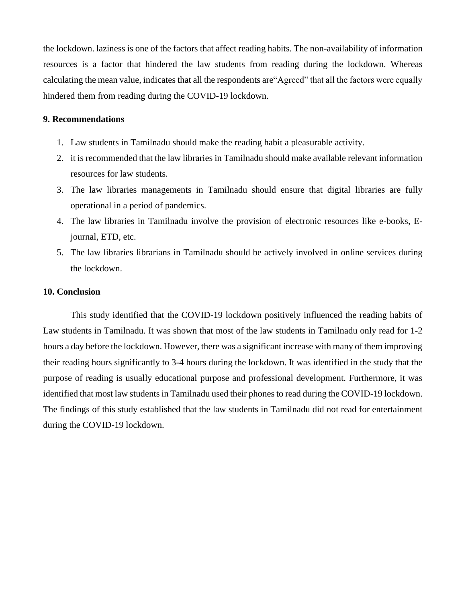the lockdown. laziness is one of the factors that affect reading habits. The non-availability of information resources is a factor that hindered the law students from reading during the lockdown. Whereas calculating the mean value, indicates that all the respondents are"Agreed" that all the factors were equally hindered them from reading during the COVID-19 lockdown.

### **9. Recommendations**

- 1. Law students in Tamilnadu should make the reading habit a pleasurable activity.
- 2. it is recommended that the law libraries in Tamilnadu should make available relevant information resources for law students.
- 3. The law libraries managements in Tamilnadu should ensure that digital libraries are fully operational in a period of pandemics.
- 4. The law libraries in Tamilnadu involve the provision of electronic resources like e-books, Ejournal, ETD, etc.
- 5. The law libraries librarians in Tamilnadu should be actively involved in online services during the lockdown.

#### **10. Conclusion**

This study identified that the COVID-19 lockdown positively influenced the reading habits of Law students in Tamilnadu. It was shown that most of the law students in Tamilnadu only read for 1-2 hours a day before the lockdown. However, there was a significant increase with many of them improving their reading hours significantly to 3-4 hours during the lockdown. It was identified in the study that the purpose of reading is usually educational purpose and professional development. Furthermore, it was identified that most law students in Tamilnadu used their phones to read during the COVID-19 lockdown. The findings of this study established that the law students in Tamilnadu did not read for entertainment during the COVID-19 lockdown.